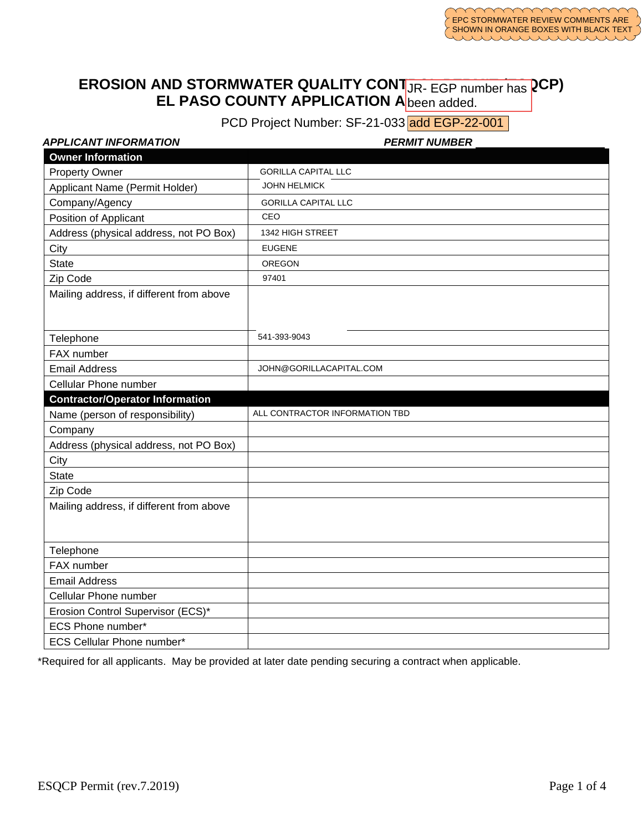#### **EROSION AND STORMWATER QUALITY CONTING EGP number has RCP) EL PASO COUNTY APPLICATION A** been added. JR- EGP number has been added.

PCD Project Number: SF-21-033 add EGP-22-001

|  | <b>APPLICANT INFORMATION</b> |
|--|------------------------------|
|  |                              |

| PCD Project Number: SF-21-033 add EGP-22-001 |                                |  |  |  |
|----------------------------------------------|--------------------------------|--|--|--|
| APPLICANT INFORMATION                        | <b>PERMIT NUMBER</b>           |  |  |  |
| <b>Owner Information</b>                     |                                |  |  |  |
| <b>Property Owner</b>                        | <b>GORILLA CAPITAL LLC</b>     |  |  |  |
| Applicant Name (Permit Holder)               | <b>JOHN HELMICK</b>            |  |  |  |
| Company/Agency                               | <b>GORILLA CAPITAL LLC</b>     |  |  |  |
| Position of Applicant                        | CEO                            |  |  |  |
| Address (physical address, not PO Box)       | 1342 HIGH STREET               |  |  |  |
| City                                         | <b>EUGENE</b>                  |  |  |  |
| <b>State</b>                                 | <b>OREGON</b>                  |  |  |  |
| Zip Code                                     | 97401                          |  |  |  |
| Mailing address, if different from above     |                                |  |  |  |
|                                              |                                |  |  |  |
| Telephone                                    | 541-393-9043                   |  |  |  |
| FAX number                                   |                                |  |  |  |
| <b>Email Address</b>                         | JOHN@GORILLACAPITAL.COM        |  |  |  |
| Cellular Phone number                        |                                |  |  |  |
| <b>Contractor/Operator Information</b>       |                                |  |  |  |
| Name (person of responsibility)              | ALL CONTRACTOR INFORMATION TBD |  |  |  |
| Company                                      |                                |  |  |  |
| Address (physical address, not PO Box)       |                                |  |  |  |
| City                                         |                                |  |  |  |
| <b>State</b>                                 |                                |  |  |  |
| Zip Code                                     |                                |  |  |  |
| Mailing address, if different from above     |                                |  |  |  |
|                                              |                                |  |  |  |
|                                              |                                |  |  |  |
| Telephone                                    |                                |  |  |  |
| FAX number                                   |                                |  |  |  |
| <b>Email Address</b>                         |                                |  |  |  |
| Cellular Phone number                        |                                |  |  |  |
| Erosion Control Supervisor (ECS)*            |                                |  |  |  |
| ECS Phone number*                            |                                |  |  |  |
| <b>ECS Cellular Phone number*</b>            |                                |  |  |  |

\*Required for all applicants. May be provided at later date pending securing a contract when applicable.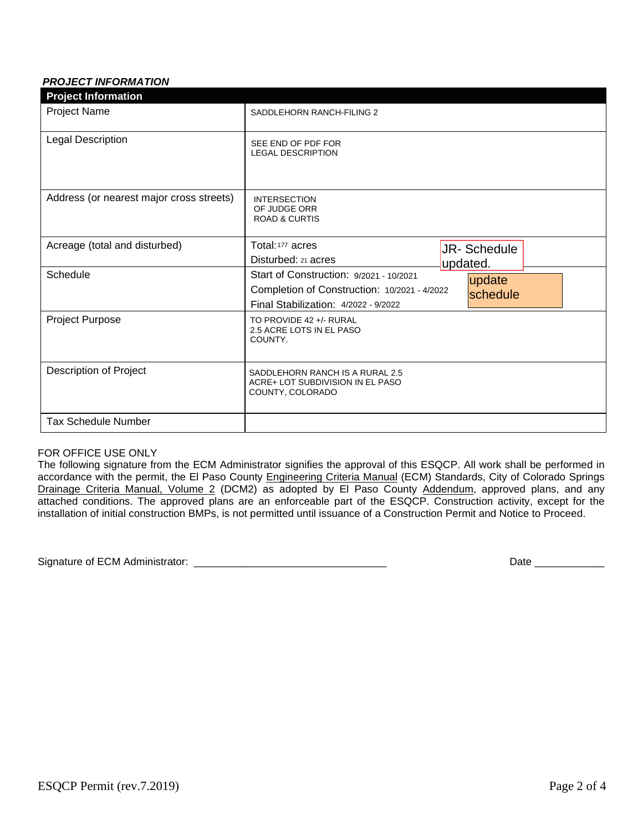# *PROJECT INFORMATION*

| <b>Project Information</b>               |                                                                                                                                 |                         |
|------------------------------------------|---------------------------------------------------------------------------------------------------------------------------------|-------------------------|
| <b>Project Name</b>                      | SADDLEHORN RANCH-FILING 2                                                                                                       |                         |
| Legal Description                        | SEE END OF PDF FOR<br><b>LEGAL DESCRIPTION</b>                                                                                  |                         |
| Address (or nearest major cross streets) | <b>INTERSECTION</b><br>OF JUDGE ORR<br><b>ROAD &amp; CURTIS</b>                                                                 |                         |
| Acreage (total and disturbed)            | Total: 177 acres<br>Disturbed: 21 acres                                                                                         | JR-Schedule<br>updated. |
| Schedule                                 | Start of Construction: 9/2021 - 10/2021<br>Completion of Construction: 10/2021 - 4/2022<br>Final Stabilization: 4/2022 - 9/2022 | update<br>schedule      |
| Project Purpose                          | TO PROVIDE 42 +/- RURAL<br>2.5 ACRE LOTS IN EL PASO<br>COUNTY.                                                                  |                         |
| Description of Project                   | SADDLEHORN RANCH IS A RURAL 2.5<br>ACRE+ LOT SUBDIVISION IN EL PASO<br>COUNTY, COLORADO                                         |                         |
| <b>Tax Schedule Number</b>               |                                                                                                                                 |                         |

### FOR OFFICE USE ONLY

The following signature from the ECM Administrator signifies the approval of this ESQCP. All work shall be performed in accordance with the permit, the El Paso County Engineering Criteria Manual (ECM) Standards, City of Colorado Springs Drainage Criteria Manual, Volume 2 (DCM2) as adopted by El Paso County Addendum, approved plans, and any attached conditions. The approved plans are an enforceable part of the ESQCP. Construction activity, except for the installation of initial construction BMPs, is not permitted until issuance of a Construction Permit and Notice to Proceed.

Signature of ECM Administrator: \_\_\_\_\_\_\_\_\_\_\_\_\_\_\_\_\_\_\_\_\_\_\_\_\_\_\_\_\_\_\_\_\_ Date \_\_\_\_\_\_\_\_\_\_\_\_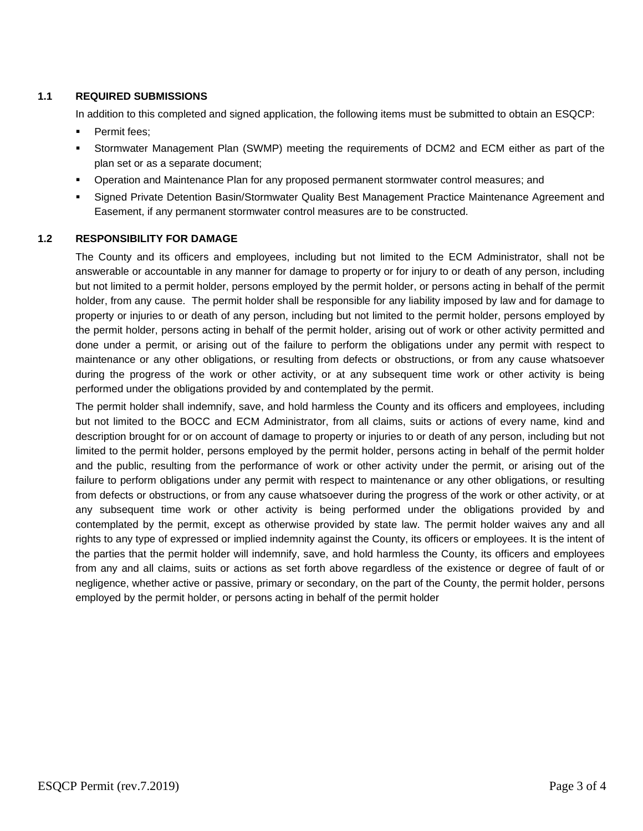### **1.1 REQUIRED SUBMISSIONS**

In addition to this completed and signed application, the following items must be submitted to obtain an ESQCP:

- Permit fees;
- Stormwater Management Plan (SWMP) meeting the requirements of DCM2 and ECM either as part of the plan set or as a separate document;
- Operation and Maintenance Plan for any proposed permanent stormwater control measures; and
- Signed Private Detention Basin/Stormwater Quality Best Management Practice Maintenance Agreement and Easement, if any permanent stormwater control measures are to be constructed.

#### **1.2 RESPONSIBILITY FOR DAMAGE**

The County and its officers and employees, including but not limited to the ECM Administrator, shall not be answerable or accountable in any manner for damage to property or for injury to or death of any person, including but not limited to a permit holder, persons employed by the permit holder, or persons acting in behalf of the permit holder, from any cause. The permit holder shall be responsible for any liability imposed by law and for damage to property or injuries to or death of any person, including but not limited to the permit holder, persons employed by the permit holder, persons acting in behalf of the permit holder, arising out of work or other activity permitted and done under a permit, or arising out of the failure to perform the obligations under any permit with respect to maintenance or any other obligations, or resulting from defects or obstructions, or from any cause whatsoever during the progress of the work or other activity, or at any subsequent time work or other activity is being performed under the obligations provided by and contemplated by the permit.

The permit holder shall indemnify, save, and hold harmless the County and its officers and employees, including but not limited to the BOCC and ECM Administrator, from all claims, suits or actions of every name, kind and description brought for or on account of damage to property or injuries to or death of any person, including but not limited to the permit holder, persons employed by the permit holder, persons acting in behalf of the permit holder and the public, resulting from the performance of work or other activity under the permit, or arising out of the failure to perform obligations under any permit with respect to maintenance or any other obligations, or resulting from defects or obstructions, or from any cause whatsoever during the progress of the work or other activity, or at any subsequent time work or other activity is being performed under the obligations provided by and contemplated by the permit, except as otherwise provided by state law. The permit holder waives any and all rights to any type of expressed or implied indemnity against the County, its officers or employees. It is the intent of the parties that the permit holder will indemnify, save, and hold harmless the County, its officers and employees from any and all claims, suits or actions as set forth above regardless of the existence or degree of fault of or negligence, whether active or passive, primary or secondary, on the part of the County, the permit holder, persons employed by the permit holder, or persons acting in behalf of the permit holder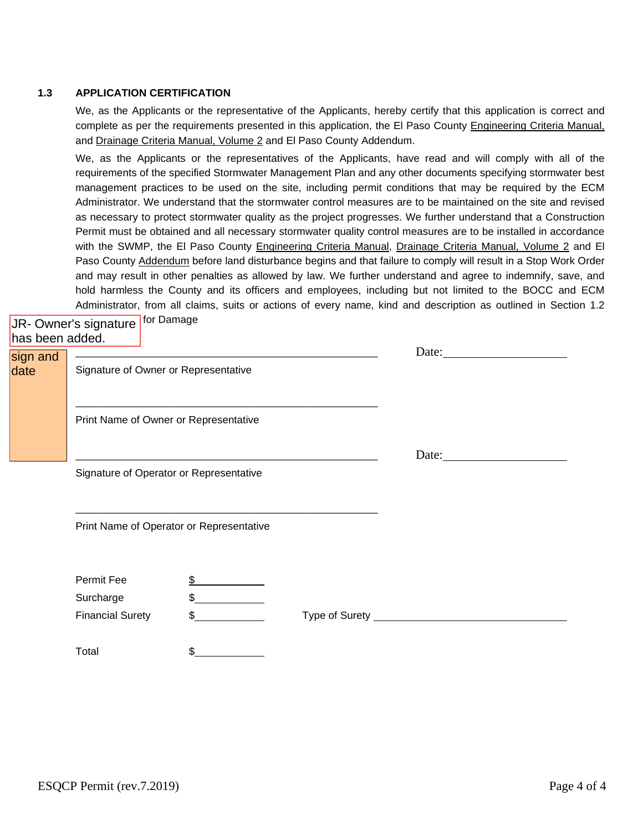#### **1.3 APPLICATION CERTIFICATION**

We, as the Applicants or the representative of the Applicants, hereby certify that this application is correct and complete as per the requirements presented in this application, the El Paso County Engineering Criteria Manual, and Drainage Criteria Manual, Volume 2 and El Paso County Addendum.

We, as the Applicants or the representatives of the Applicants, have read and will comply with all of the requirements of the specified Stormwater Management Plan and any other documents specifying stormwater best management practices to be used on the site, including permit conditions that may be required by the ECM Administrator. We understand that the stormwater control measures are to be maintained on the site and revised as necessary to protect stormwater quality as the project progresses. We further understand that a Construction Permit must be obtained and all necessary stormwater quality control measures are to be installed in accordance with the SWMP, the El Paso County Engineering Criteria Manual, Drainage Criteria Manual, Volume 2 and El Paso County Addendum before land disturbance begins and that failure to comply will result in a Stop Work Order and may result in other penalties as allowed by law. We further understand and agree to indemnify, save, and hold harmless the County and its officers and employees, including but not limited to the BOCC and ECM Administrator, from all claims, suits or actions of every name, kind and description as outlined in Section 1.2

| has been added.  | JR- Owner's signature for Damage         |                                         |       |
|------------------|------------------------------------------|-----------------------------------------|-------|
| sign and<br>date | Signature of Owner or Representative     |                                         | Date: |
|                  |                                          | Print Name of Owner or Representative   |       |
|                  |                                          |                                         | Date: |
|                  |                                          | Signature of Operator or Representative |       |
|                  | Print Name of Operator or Representative |                                         |       |
|                  | Permit Fee                               | \$                                      |       |
|                  | Surcharge                                | \$                                      |       |

Financial Surety  $\begin{array}{c} \text{\$} \qquad \qquad \text{\$} \qquad \qquad \text{\$} \qquad \qquad \text{\$} \qquad \qquad \text{\$} \qquad \text{\$} \text{Type of Surely} \qquad \qquad \text{\$} \qquad \qquad \text{\$} \qquad \text{\$} \qquad \text{\$} \text{Type of Survey} \qquad \qquad \text{\$} \qquad \text{\$} \text{Type of Survey} \qquad \qquad \text{\$} \qquad \text{\$} \qquad \text{\$} \qquad \text{\$} \qquad \text{\$} \qquad \text{\$} \qquad \text{\$} \qquad$ Total \$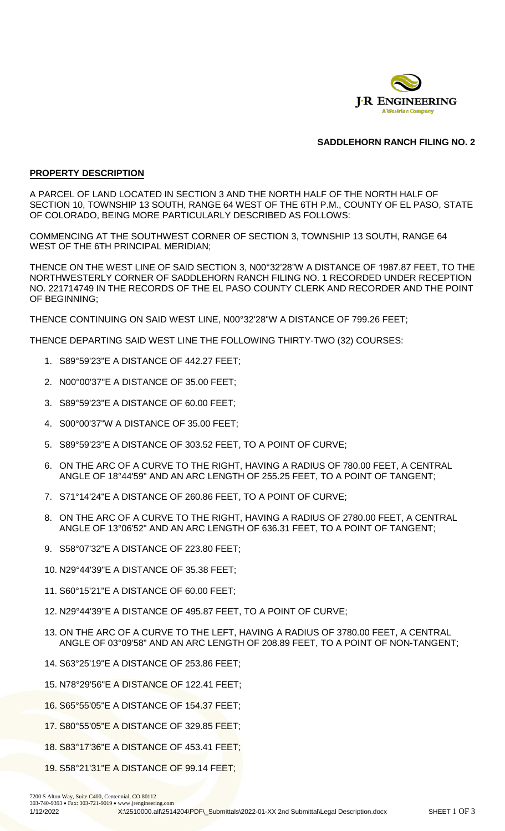

# **SADDLEHORN RANCH FILING NO. 2**

# **PROPERTY DESCRIPTION**

A PARCEL OF LAND LOCATED IN SECTION 3 AND THE NORTH HALF OF THE NORTH HALF OF SECTION 10, TOWNSHIP 13 SOUTH, RANGE 64 WEST OF THE 6TH P.M., COUNTY OF EL PASO, STATE OF COLORADO, BEING MORE PARTICULARLY DESCRIBED AS FOLLOWS:

COMMENCING AT THE SOUTHWEST CORNER OF SECTION 3, TOWNSHIP 13 SOUTH, RANGE 64 WEST OF THE 6TH PRINCIPAL MERIDIAN;

THENCE ON THE WEST LINE OF SAID SECTION 3, N00°32'28"W A DISTANCE OF 1987.87 FEET, TO THE NORTHWESTERLY CORNER OF SADDLEHORN RANCH FILING NO. 1 RECORDED UNDER RECEPTION NO. 221714749 IN THE RECORDS OF THE EL PASO COUNTY CLERK AND RECORDER AND THE POINT OF BEGINNING;

THENCE CONTINUING ON SAID WEST LINE, N00°32'28"W A DISTANCE OF 799.26 FEET;

THENCE DEPARTING SAID WEST LINE THE FOLLOWING THIRTY-TWO (32) COURSES:

- 1. S89°59'23"E A DISTANCE OF 442.27 FEET;
- 2. N00°00'37"E A DISTANCE OF 35.00 FEET;
- 3. S89°59'23"E A DISTANCE OF 60.00 FEET;
- 4. S00°00'37"W A DISTANCE OF 35.00 FEET;
- 5. S89°59'23"E A DISTANCE OF 303.52 FEET, TO A POINT OF CURVE;
- 6. ON THE ARC OF A CURVE TO THE RIGHT, HAVING A RADIUS OF 780.00 FEET, A CENTRAL ANGLE OF 18°44'59" AND AN ARC LENGTH OF 255.25 FEET, TO A POINT OF TANGENT;
- 7. S71°14'24"E A DISTANCE OF 260.86 FEET, TO A POINT OF CURVE;
- 8. ON THE ARC OF A CURVE TO THE RIGHT, HAVING A RADIUS OF 2780.00 FEET, A CENTRAL ANGLE OF 13°06'52" AND AN ARC LENGTH OF 636.31 FEET, TO A POINT OF TANGENT;
- 9. S58°07'32"E A DISTANCE OF 223.80 FEET;
- 10. N29°44'39"E A DISTANCE OF 35.38 FEET;
- 11. S60°15'21"E A DISTANCE OF 60.00 FEET;
- 12. N29°44'39"E A DISTANCE OF 495.87 FEET, TO A POINT OF CURVE;
- 13. ON THE ARC OF A CURVE TO THE LEFT, HAVING A RADIUS OF 3780.00 FEET, A CENTRAL ANGLE OF 03°09'58" AND AN ARC LENGTH OF 208.89 FEET, TO A POINT OF NON-TANGENT;
- 14. S63°25'19"E A DISTANCE OF 253.86 FEET;
- 15. N78°29'56"E A DISTANCE OF 122.41 FEET;
- 16. S65°55'05"E A DISTANCE OF 154.37 FEET;
- 17. S80°55'05"E A DISTANCE OF 329.85 FEET;
- 18. S83°17'36"E A DISTANCE OF 453.41 FEET;
- 19. S58°21'31"E A DISTANCE OF 99.14 FEET;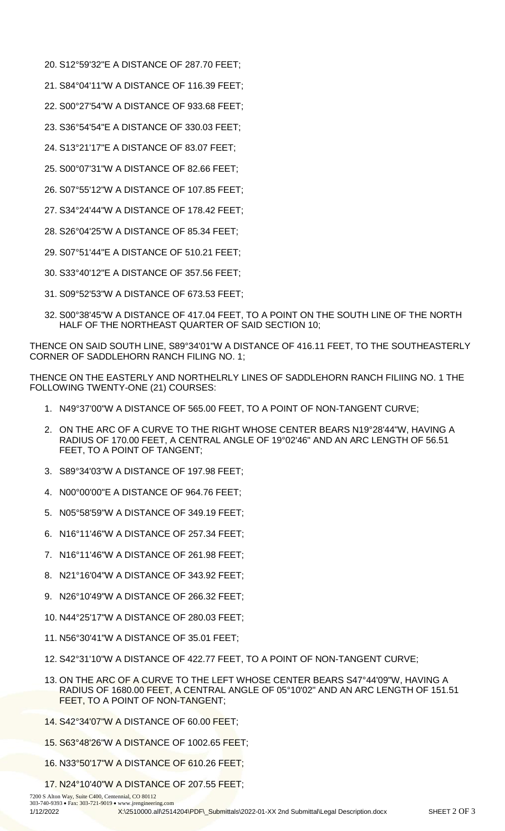- 20. S12°59'32"E A DISTANCE OF 287.70 FEET;
- 21. S84°04'11"W A DISTANCE OF 116.39 FEET;
- 22. S00°27'54"W A DISTANCE OF 933.68 FEET;
- 23. S36°54'54"E A DISTANCE OF 330.03 FEET;
- 24. S13°21'17"E A DISTANCE OF 83.07 FEET;
- 25. S00°07'31"W A DISTANCE OF 82.66 FEET;
- 26. S07°55'12"W A DISTANCE OF 107.85 FEET;
- 27. S34°24'44"W A DISTANCE OF 178.42 FEET;
- 28. S26°04'25"W A DISTANCE OF 85.34 FEET;
- 29. S07°51'44"E A DISTANCE OF 510.21 FEET;
- 30. S33°40'12"E A DISTANCE OF 357.56 FEET;
- 31. S09°52'53"W A DISTANCE OF 673.53 FEET;
- 32. S00°38'45"W A DISTANCE OF 417.04 FEET, TO A POINT ON THE SOUTH LINE OF THE NORTH HALF OF THE NORTHEAST QUARTER OF SAID SECTION 10;

THENCE ON SAID SOUTH LINE, S89°34'01"W A DISTANCE OF 416.11 FEET, TO THE SOUTHEASTERLY CORNER OF SADDLEHORN RANCH FILING NO. 1;

THENCE ON THE EASTERLY AND NORTHELRLY LINES OF SADDLEHORN RANCH FILIING NO. 1 THE FOLLOWING TWENTY-ONE (21) COURSES:

- 1. N49°37'00"W A DISTANCE OF 565.00 FEET, TO A POINT OF NON-TANGENT CURVE;
- 2. ON THE ARC OF A CURVE TO THE RIGHT WHOSE CENTER BEARS N19°28'44"W, HAVING A RADIUS OF 170.00 FEET, A CENTRAL ANGLE OF 19°02'46" AND AN ARC LENGTH OF 56.51 FEET, TO A POINT OF TANGENT;
- 3. S89°34'03"W A DISTANCE OF 197.98 FEET;
- 4. N00°00'00"E A DISTANCE OF 964.76 FEET;
- 5. N05°58'59"W A DISTANCE OF 349.19 FEET;
- 6. N16°11'46"W A DISTANCE OF 257.34 FEET;
- 7. N16°11'46"W A DISTANCE OF 261.98 FEET;
- 8. N21°16'04"W A DISTANCE OF 343.92 FEET;
- 9. N26°10'49"W A DISTANCE OF 266.32 FEET;
- 10. N44°25'17"W A DISTANCE OF 280.03 FEET;
- 11. N56°30'41"W A DISTANCE OF 35.01 FEET;
- 12. S42°31'10"W A DISTANCE OF 422.77 FEET, TO A POINT OF NON-TANGENT CURVE;
- 13. ON THE ARC OF A CURVE TO THE LEFT WHOSE CENTER BEARS S47°44'09"W, HAVING A RADIUS OF 1680.00 FEET, A CENTRAL ANGLE OF 05°10'02" AND AN ARC LENGTH OF 151.51 FEET, TO A POINT OF NON-TANGENT;
- 14. S42°34'07"W A DISTANCE OF 60.00 FEET;
- 15. S63°48'26"W A DISTANCE OF 1002.65 FEET;
- 16. N33°50'17"W A DISTANCE OF 610.26 FEET;
- 17. N24°10'40"W A DISTANCE OF 207.55 FEET;